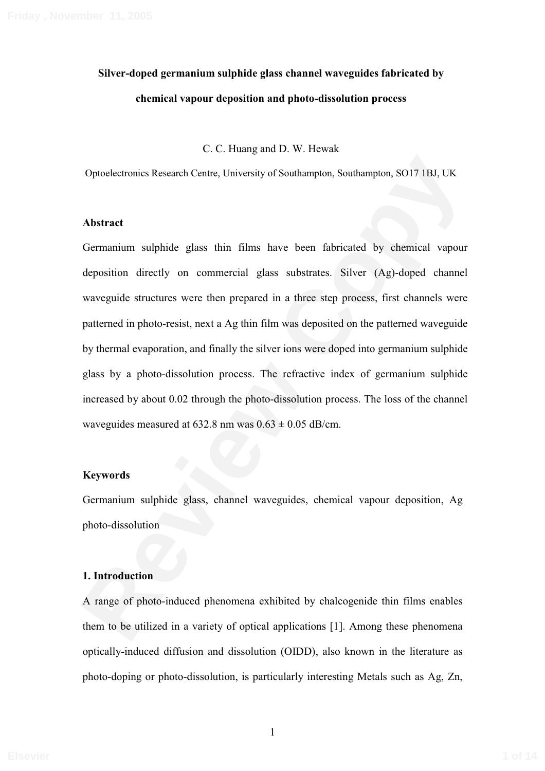# **Silver-doped germanium sulphide glass channel waveguides fabricated by chemical vapour deposition and photo-dissolution process**

C. C. Huang and D. W. Hewak

Optoelectronics Research Centre, University of Southampton, Southampton, SO17 1BJ, UK

#### **Abstract**

Optoelectronics Research Centre, University of Southampton, Southampton, SO17 IBJ, UK<br> **Abstract**<br> **Remanium** sulphide glass thin films have been fabricated by chemical vapour<br>
deposition directly on commercial glass subs Germanium sulphide glass thin films have been fabricated by chemical vapour deposition directly on commercial glass substrates. Silver (Ag)-doped channel waveguide structures were then prepared in a three step process, first channels were patterned in photo-resist, next a Ag thin film was deposited on the patterned waveguide by thermal evaporation, and finally the silver ions were doped into germanium sulphide glass by a photo-dissolution process. The refractive index of germanium sulphide increased by about 0.02 through the photo-dissolution process. The loss of the channel waveguides measured at  $632.8$  nm was  $0.63 \pm 0.05$  dB/cm.

#### **Keywords**

Germanium sulphide glass, channel waveguides, chemical vapour deposition, Ag photo-dissolution

#### **1. Introduction**

A range of photo-induced phenomena exhibited by chalcogenide thin films enables them to be utilized in a variety of optical applications [1]. Among these phenomena optically-induced diffusion and dissolution (OIDD), also known in the literature as photo-doping or photo-dissolution, is particularly interesting Metals such as Ag, Zn,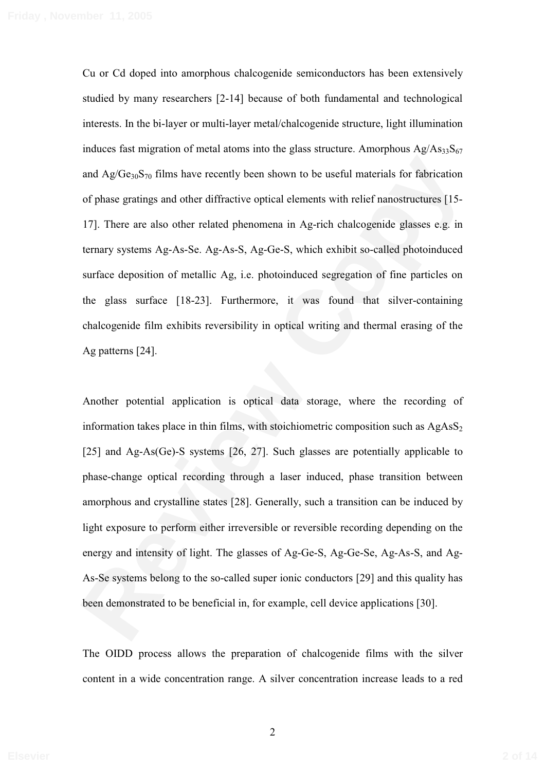Cu or Cd doped into amorphous chalcogenide semiconductors has been extensively studied by many researchers [2-14] because of both fundamental and technological interests. In the bi-layer or multi-layer metal/chalcogenide structure, light illumination induces fast migration of metal atoms into the glass structure. Amorphous  $Ag/As_{33}S_{67}$ and  $Ag/Ge_{30}S_{70}$  films have recently been shown to be useful materials for fabrication of phase gratings and other diffractive optical elements with relief nanostructures [15- 17]. There are also other related phenomena in Ag-rich chalcogenide glasses e.g. in ternary systems Ag-As-Se. Ag-As-S, Ag-Ge-S, which exhibit so-called photoinduced surface deposition of metallic Ag, i.e. photoinduced segregation of fine particles on the glass surface [18-23]. Furthermore, it was found that silver-containing chalcogenide film exhibits reversibility in optical writing and thermal erasing of the Ag patterns [24].

and  $\Delta g/Ge_{y_0}S_{y_0}$  films have recently been shown to be useful materials for fabrication<br>of phase gratings and other diffractive optical elements with relief nanostructures [15-<br>17]. There are also other related pheno Another potential application is optical data storage, where the recording of information takes place in thin films, with stoichiometric composition such as  $AgAsS<sub>2</sub>$ [25] and Ag-As(Ge)-S systems [26, 27]. Such glasses are potentially applicable to phase-change optical recording through a laser induced, phase transition between amorphous and crystalline states [28]. Generally, such a transition can be induced by light exposure to perform either irreversible or reversible recording depending on the energy and intensity of light. The glasses of Ag-Ge-S, Ag-Ge-Se, Ag-As-S, and Ag-As-Se systems belong to the so-called super ionic conductors [29] and this quality has been demonstrated to be beneficial in, for example, cell device applications [30].

The OIDD process allows the preparation of chalcogenide films with the silver content in a wide concentration range. A silver concentration increase leads to a red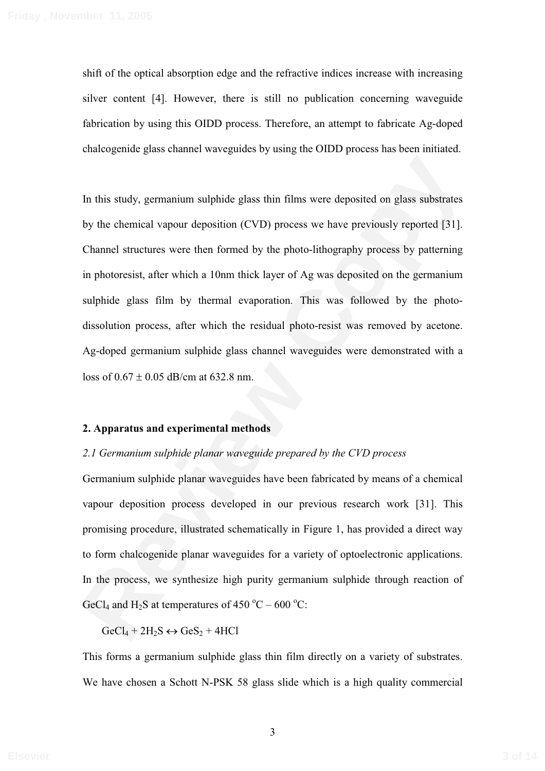shift of the optical absorption edge and the refractive indices increase with increasing silver content [4]. However, there is still no publication concerning waveguide fabrication by using this OIDD process. Therefore, an attempt to fabricate Ag-doped chalcogenide glass channel waveguides by using the OIDD process has been initiated.

In this study, germanium sulphide glass thin films were deposited on glass substrates<br>by the chemical vapour deposition (CVD) process we have previously reported [31].<br>Channel structures were then formed by the photo-lith In this study, germanium sulphide glass thin films were deposited on glass substrates by the chemical vapour deposition (CVD) process we have previously reported [31]. Channel structures were then formed by the photo-lithography process by patterning in photoresist, after which a 10nm thick layer of Ag was deposited on the germanium sulphide glass film by thermal evaporation. This was followed by the photodissolution process, after which the residual photo-resist was removed by acetone. Ag-doped germanium sulphide glass channel waveguides were demonstrated with a loss of  $0.67 \pm 0.05$  dB/cm at 632.8 nm.

## **2. Apparatus and experimental methods**

#### *2.1 Germanium sulphide planar waveguide prepared by the CVD process*

Germanium sulphide planar waveguides have been fabricated by means of a chemical vapour deposition process developed in our previous research work [31]. This promising procedure, illustrated schematically in Figure 1, has provided a direct way to form chalcogenide planar waveguides for a variety of optoelectronic applications. In the process, we synthesize high purity germanium sulphide through reaction of GeCl<sub>4</sub> and H<sub>2</sub>S at temperatures of 450 °C – 600 °C:

 $GeCl_4 + 2H_2S \leftrightarrow GeS_2 + 4HCI$ 

This forms a germanium sulphide glass thin film directly on a variety of substrates. We have chosen a Schott N-PSK 58 glass slide which is a high quality commercial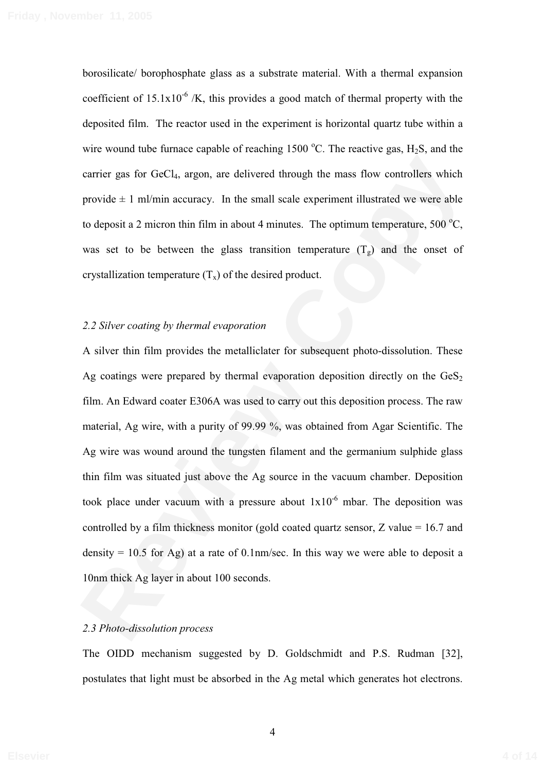borosilicate/ borophosphate glass as a substrate material. With a thermal expansion coefficient of  $15.1x10^{-6}$  /K, this provides a good match of thermal property with the deposited film. The reactor used in the experiment is horizontal quartz tube within a wire wound tube furnace capable of reaching 1500 °C. The reactive gas,  $H_2S$ , and the carrier gas for GeCl4, argon, are delivered through the mass flow controllers which provide  $\pm$  1 ml/min accuracy. In the small scale experiment illustrated we were able to deposit a 2 micron thin film in about 4 minutes. The optimum temperature,  $500^{\circ}$ C, was set to be between the glass transition temperature  $(T_g)$  and the onset of crystallization temperature  $(T_x)$  of the desired product.

## *2.2 Silver coating by thermal evaporation*

carrier gas for GeCl<sub>1</sub>, argon, are delivered through the mass flow controllers which<br>provide  $\pm$  1 ml/min accuracy. In the small scale experiment illustrated we were able<br>to deposit a 2 micron thin film in about 4 minut A silver thin film provides the metalliclater for subsequent photo-dissolution. These Ag coatings were prepared by thermal evaporation deposition directly on the  $\text{GeS}_2$ film. An Edward coater E306A was used to carry out this deposition process. The raw material, Ag wire, with a purity of 99.99 %, was obtained from Agar Scientific. The Ag wire was wound around the tungsten filament and the germanium sulphide glass thin film was situated just above the Ag source in the vacuum chamber. Deposition took place under vacuum with a pressure about  $1x10^{-6}$  mbar. The deposition was controlled by a film thickness monitor (gold coated quartz sensor, Z value = 16.7 and density  $= 10.5$  for Ag) at a rate of 0.1nm/sec. In this way we were able to deposit a 10nm thick Ag layer in about 100 seconds.

#### *2.3 Photo-dissolution process*

The OIDD mechanism suggested by D. Goldschmidt and P.S. Rudman [32], postulates that light must be absorbed in the Ag metal which generates hot electrons.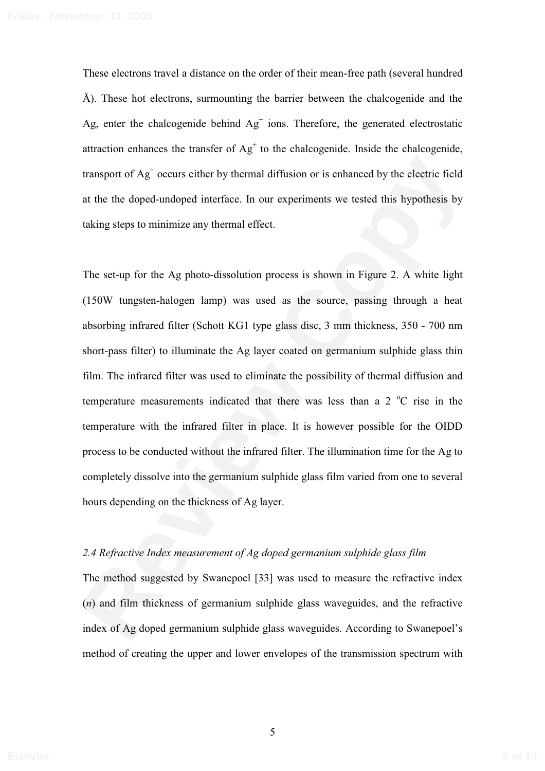These electrons travel a distance on the order of their mean-free path (several hundred Å). These hot electrons, surmounting the barrier between the chalcogenide and the Ag, enter the chalcogenide behind  $Ag<sup>+</sup>$  ions. Therefore, the generated electrostatic attraction enhances the transfer of  $Ag<sup>+</sup>$  to the chalcogenide. Inside the chalcogenide, transport of Ag+ occurs either by thermal diffusion or is enhanced by the electric field at the the doped-undoped interface. In our experiments we tested this hypothesis by taking steps to minimize any thermal effect.

transport of  $\Lambda g^2$  occurs either by thermal diffusion or is enhanced by the electric field<br>at the the doped-undoped interface. In our experiments we tested this hypothesis by<br>taking steps to minimize any thermal effect. The set-up for the Ag photo-dissolution process is shown in Figure 2. A white light (150W tungsten-halogen lamp) was used as the source, passing through a heat absorbing infrared filter (Schott KG1 type glass disc, 3 mm thickness, 350 - 700 nm short-pass filter) to illuminate the Ag layer coated on germanium sulphide glass thin film. The infrared filter was used to eliminate the possibility of thermal diffusion and temperature measurements indicated that there was less than a  $2^{\circ}$ C rise in the temperature with the infrared filter in place. It is however possible for the OIDD process to be conducted without the infrared filter. The illumination time for the Ag to completely dissolve into the germanium sulphide glass film varied from one to several hours depending on the thickness of Ag layer.

#### *2.4 Refractive Index measurement of Ag doped germanium sulphide glass film*

The method suggested by Swanepoel [33] was used to measure the refractive index (*n*) and film thickness of germanium sulphide glass waveguides, and the refractive index of Ag doped germanium sulphide glass waveguides. According to Swanepoel's method of creating the upper and lower envelopes of the transmission spectrum with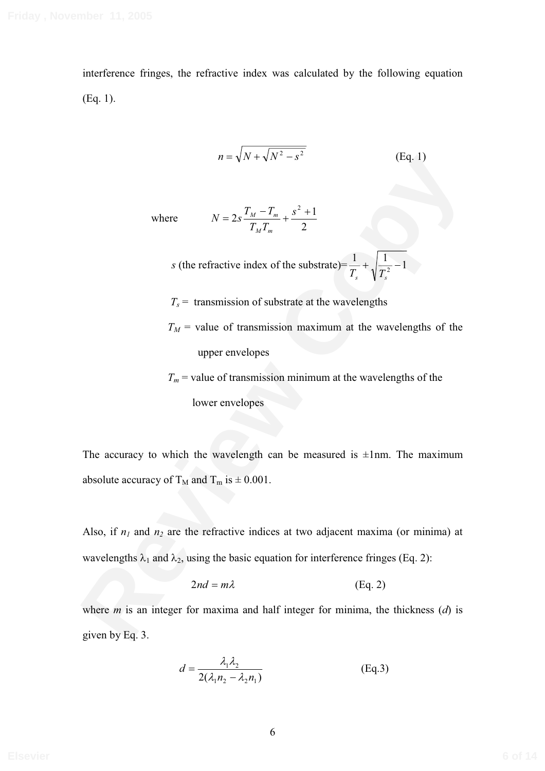interference fringes, the refractive index was calculated by the following equation (Eq. 1).

$$
n = \sqrt{N + \sqrt{N^2 - s^2}}
$$
 (Eq. 1)

where

$$
N = 2s \frac{T_M - T_m}{T_M T_m} + \frac{s^2 + 1}{2}
$$

s (the refractive index of the substrate)= 
$$
\frac{1}{T_s} + \sqrt{\frac{1}{T_s^2} - 1}
$$

 $T_s$  = transmission of substrate at the wavelengths

 $T_M$  = value of transmission maximum at the wavelengths of the upper envelopes

 $T_m$  = value of transmission minimum at the wavelengths of the lower envelopes

The accuracy to which the wavelength can be measured is  $\pm 1$ nm. The maximum absolute accuracy of  $T_M$  and  $T_m$  is  $\pm 0.001$ .

 $n = \sqrt{x} + \sqrt{x}$  or  $S = 2s \frac{T_M - T_m}{T_M T_m} + \frac{s^2 + 1}{2}$ <br>
(the refractive index of the substrate)  $-\frac{1}{T_s} + \sqrt{\frac{1}{T_s^2}} - 1$ <br>  $T_s =$  transmission of substrate at the wavelengths<br>  $T_M =$  value of transmission maximum at the wavelen Also, if  $n_1$  and  $n_2$  are the refractive indices at two adjacent maxima (or minima) at wavelengths  $\lambda_1$  and  $\lambda_2$ , using the basic equation for interference fringes (Eq. 2):

$$
2nd = m\lambda \tag{Eq. 2}
$$

where *m* is an integer for maxima and half integer for minima, the thickness (*d*) is given by Eq. 3.

$$
d = \frac{\lambda_1 \lambda_2}{2(\lambda_1 n_2 - \lambda_2 n_1)}
$$
 (Eq.3)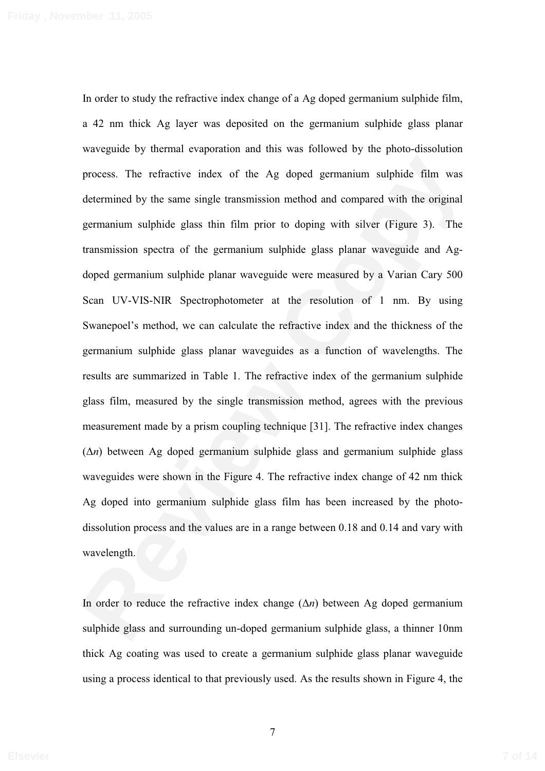process. The refractive index of the Ag doped germanium sulphide film was<br>determined by the same single transmission method and compared with the original<br>germanium sulphide glass thin film prior to doping with silver (Fi In order to study the refractive index change of a Ag doped germanium sulphide film, a 42 nm thick Ag layer was deposited on the germanium sulphide glass planar waveguide by thermal evaporation and this was followed by the photo-dissolution process. The refractive index of the Ag doped germanium sulphide film was determined by the same single transmission method and compared with the original germanium sulphide glass thin film prior to doping with silver (Figure 3). The transmission spectra of the germanium sulphide glass planar waveguide and Agdoped germanium sulphide planar waveguide were measured by a Varian Cary 500 Scan UV-VIS-NIR Spectrophotometer at the resolution of 1 nm. By using Swanepoel's method, we can calculate the refractive index and the thickness of the germanium sulphide glass planar waveguides as a function of wavelengths. The results are summarized in Table 1. The refractive index of the germanium sulphide glass film, measured by the single transmission method, agrees with the previous measurement made by a prism coupling technique [31]. The refractive index changes (∆*n*) between Ag doped germanium sulphide glass and germanium sulphide glass waveguides were shown in the Figure 4. The refractive index change of 42 nm thick Ag doped into germanium sulphide glass film has been increased by the photodissolution process and the values are in a range between 0.18 and 0.14 and vary with wavelength.

In order to reduce the refractive index change (∆*n*) between Ag doped germanium sulphide glass and surrounding un-doped germanium sulphide glass, a thinner 10nm thick Ag coating was used to create a germanium sulphide glass planar waveguide using a process identical to that previously used. As the results shown in Figure 4, the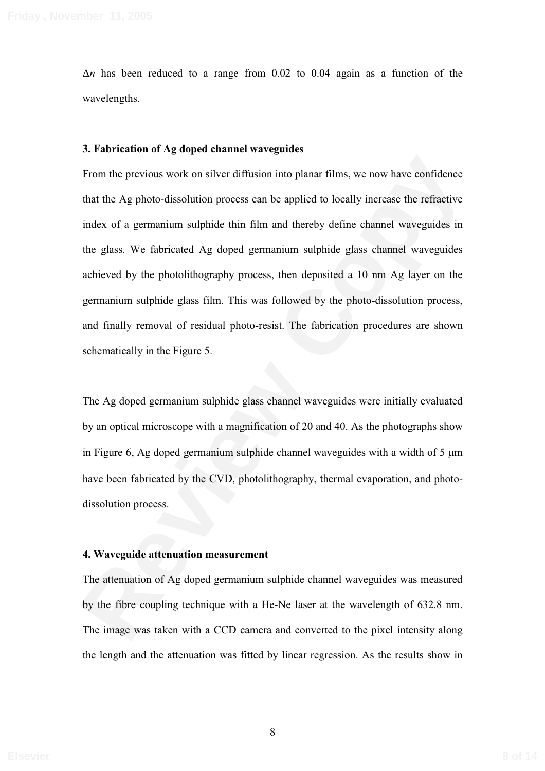∆*n* has been reduced to a range from 0.02 to 0.04 again as a function of the wavelengths.

#### **3. Fabrication of Ag doped channel waveguides**

From the previous work on silver diffusion into planar films, we now have confidence<br>that the Ag photo-dissolution process can be applied to locally increase the refractive<br>index of a germanium sulphide thin film and ther From the previous work on silver diffusion into planar films, we now have confidence that the Ag photo-dissolution process can be applied to locally increase the refractive index of a germanium sulphide thin film and thereby define channel waveguides in the glass. We fabricated Ag doped germanium sulphide glass channel waveguides achieved by the photolithography process, then deposited a 10 nm Ag layer on the germanium sulphide glass film. This was followed by the photo-dissolution process, and finally removal of residual photo-resist. The fabrication procedures are shown schematically in the Figure 5.

The Ag doped germanium sulphide glass channel waveguides were initially evaluated by an optical microscope with a magnification of 20 and 40. As the photographs show in Figure 6, Ag doped germanium sulphide channel waveguides with a width of  $5 \mu m$ have been fabricated by the CVD, photolithography, thermal evaporation, and photodissolution process.

#### **4. Waveguide attenuation measurement**

The attenuation of Ag doped germanium sulphide channel waveguides was measured by the fibre coupling technique with a He-Ne laser at the wavelength of 632.8 nm. The image was taken with a CCD camera and converted to the pixel intensity along the length and the attenuation was fitted by linear regression. As the results show in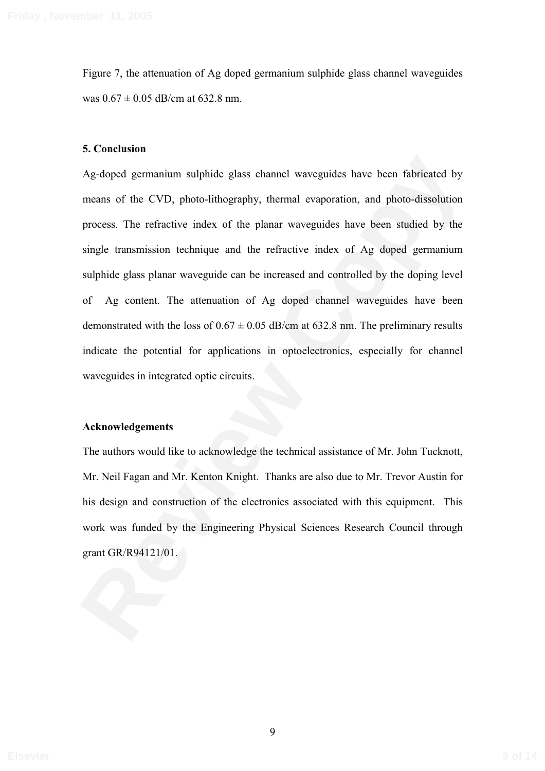Figure 7, the attenuation of Ag doped germanium sulphide glass channel waveguides was  $0.67 \pm 0.05$  dB/cm at 632.8 nm.

#### **5. Conclusion**

Ag-doped germanium sulphide glass channel waveguides have been fabricated by<br>means of the CVD, photo-lithography, thermal evaporation, and photo-dissolution<br>process. The refractive index of the planar waveguides have been Ag-doped germanium sulphide glass channel waveguides have been fabricated by means of the CVD, photo-lithography, thermal evaporation, and photo-dissolution process. The refractive index of the planar waveguides have been studied by the single transmission technique and the refractive index of Ag doped germanium sulphide glass planar waveguide can be increased and controlled by the doping level of Ag content. The attenuation of Ag doped channel waveguides have been demonstrated with the loss of  $0.67 \pm 0.05$  dB/cm at 632.8 nm. The preliminary results indicate the potential for applications in optoelectronics, especially for channel waveguides in integrated optic circuits.

#### **Acknowledgements**

The authors would like to acknowledge the technical assistance of Mr. John Tucknott, Mr. Neil Fagan and Mr. Kenton Knight. Thanks are also due to Mr. Trevor Austin for his design and construction of the electronics associated with this equipment. This work was funded by the Engineering Physical Sciences Research Council through grant GR/R94121/01.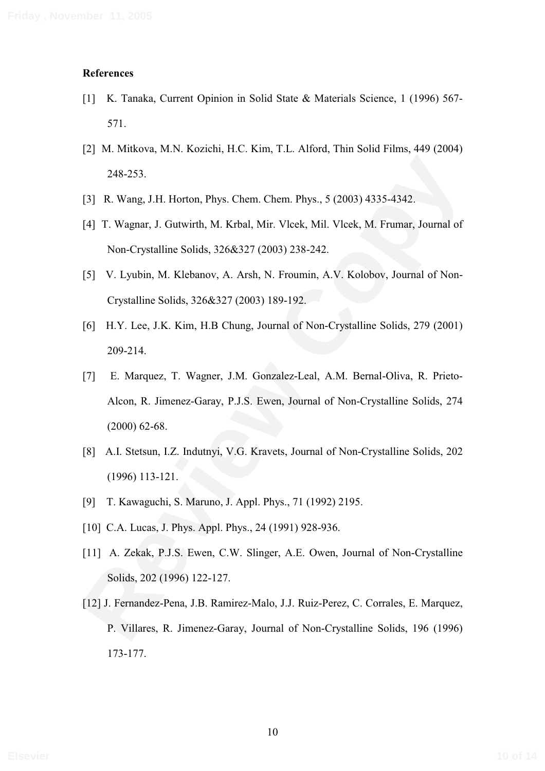#### **References**

- [1] K. Tanaka, Current Opinion in Solid State & Materials Science, 1 (1996) 567- 571.
- [2] M. Mitkova, M.N. Kozichi, H.C. Kim, T.L. Alford, Thin Solid Films, 449 (2004) 248-253.
- [3] R. Wang, J.H. Horton, Phys. Chem. Chem. Phys., 5 (2003) 4335-4342.
- [4] T. Wagnar, J. Gutwirth, M. Krbal, Mir. Vlcek, Mil. Vlcek, M. Frumar, Journal of Non-Crystalline Solids, 326&327 (2003) 238-242.
- [5] V. Lyubin, M. Klebanov, A. Arsh, N. Froumin, A.V. Kolobov, Journal of Non-Crystalline Solids, 326&327 (2003) 189-192.
- [6] H.Y. Lee, J.K. Kim, H.B Chung, Journal of Non-Crystalline Solids, 279 (2001) 209-214.
- 248-253.<br>
[3] R. Wang, J.H. Horton, Phys. Chem. Chem. Phys., 5 (2003) 4335-4342.<br>
[4] T. Wagnar, J. Gutwirth, M. Krhal, Mir. Vleek, Mil. Vleek, M. Frumar, Journal of<br>
Non-Crystalline Solids, 326&327 (2003) 238-242.<br>
[5] V. [7] E. Marquez, T. Wagner, J.M. Gonzalez-Leal, A.M. Bernal-Oliva, R. Prieto-Alcon, R. Jimenez-Garay, P.J.S. Ewen, Journal of Non-Crystalline Solids, 274 (2000) 62-68.
- [8] A.I. Stetsun, I.Z. Indutnyi, V.G. Kravets, Journal of Non-Crystalline Solids, 202 (1996) 113-121.
- [9] T. Kawaguchi, S. Maruno, J. Appl. Phys., 71 (1992) 2195.
- [10] C.A. Lucas, J. Phys. Appl. Phys., 24 (1991) 928-936.
- [11] A. Zekak, P.J.S. Ewen, C.W. Slinger, A.E. Owen, Journal of Non-Crystalline Solids, 202 (1996) 122-127.
- [12] J. Fernandez-Pena, J.B. Ramirez-Malo, J.J. Ruiz-Perez, C. Corrales, E. Marquez, P. Villares, R. Jimenez-Garay, Journal of Non-Crystalline Solids, 196 (1996) 173-177.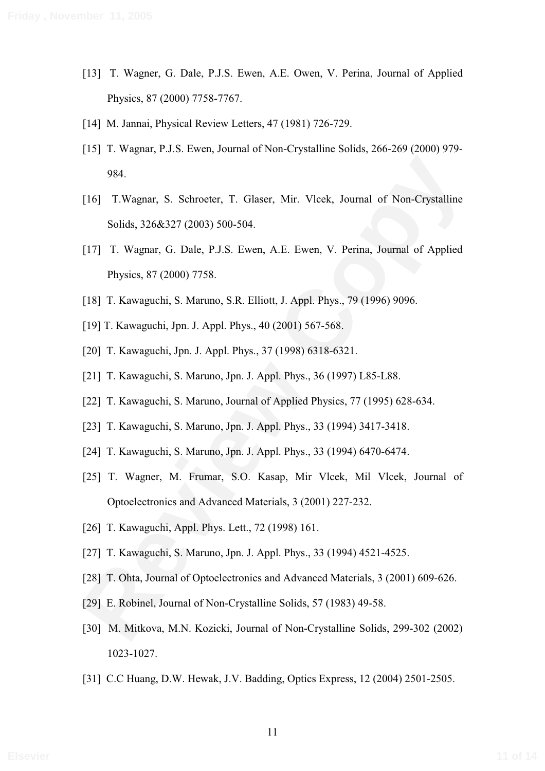- [13] T. Wagner, G. Dale, P.J.S. Ewen, A.E. Owen, V. Perina, Journal of Applied Physics, 87 (2000) 7758-7767.
- [14] M. Jannai, Physical Review Letters, 47 (1981) 726-729.
- [15] T. Wagnar, P.J.S. Ewen, Journal of Non-Crystalline Solids, 266-269 (2000) 979- 984.
- 984.<br>
[16] **T. Wagnar, S. Schrocter, T. Glaser, Mir. Vleck**, Journal of Non-Crystalline<br>
Solids, 326&327 (2003) 500-504.<br>
[17] **T. Wagnar, G. Dale, P.J.S.** Ewen, A.E. Ewen, V. Perina, Journal of Applied<br>
Physics, 87 (2000) [16] T.Wagnar, S. Schroeter, T. Glaser, Mir. Vlcek, Journal of Non-Crystalline Solids, 326&327 (2003) 500-504.
- [17] T. Wagnar, G. Dale, P.J.S. Ewen, A.E. Ewen, V. Perina, Journal of Applied Physics, 87 (2000) 7758.
- [18] T. Kawaguchi, S. Maruno, S.R. Elliott, J. Appl. Phys., 79 (1996) 9096.
- [19] T. Kawaguchi, Jpn. J. Appl. Phys., 40 (2001) 567-568.
- [20] T. Kawaguchi, Jpn. J. Appl. Phys., 37 (1998) 6318-6321.
- [21] T. Kawaguchi, S. Maruno, Jpn. J. Appl. Phys., 36 (1997) L85-L88.
- [22] T. Kawaguchi, S. Maruno, Journal of Applied Physics, 77 (1995) 628-634.
- [23] T. Kawaguchi, S. Maruno, Jpn. J. Appl. Phys., 33 (1994) 3417-3418.
- [24] T. Kawaguchi, S. Maruno, Jpn. J. Appl. Phys., 33 (1994) 6470-6474.
- [25] T. Wagner, M. Frumar, S.O. Kasap, Mir Vlcek, Mil Vlcek, Journal of Optoelectronics and Advanced Materials, 3 (2001) 227-232.
- [26] T. Kawaguchi, Appl. Phys. Lett., 72 (1998) 161.
- [27] T. Kawaguchi, S. Maruno, Jpn. J. Appl. Phys., 33 (1994) 4521-4525.
- [28] T. Ohta, Journal of Optoelectronics and Advanced Materials, 3 (2001) 609-626.
- [29] E. Robinel, Journal of Non-Crystalline Solids, 57 (1983) 49-58.
- [30] M. Mitkova, M.N. Kozicki, Journal of Non-Crystalline Solids, 299-302 (2002) 1023-1027.
- [31] C.C Huang, D.W. Hewak, J.V. Badding, Optics Express, 12 (2004) 2501-2505.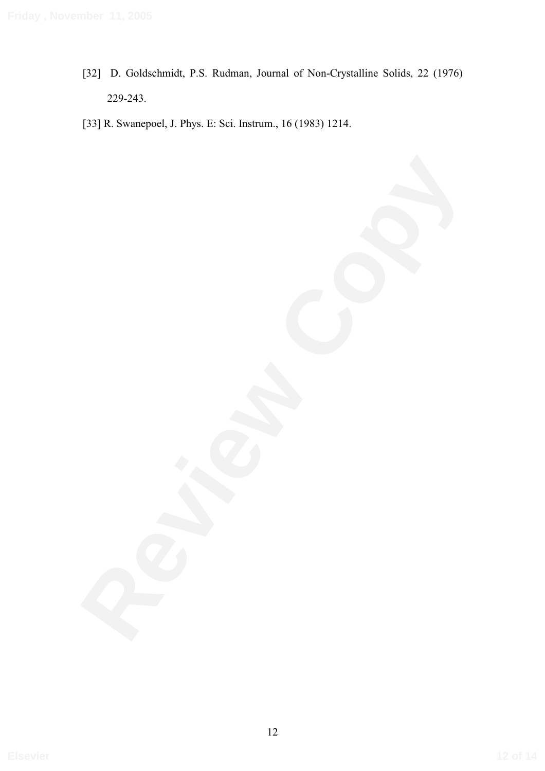[32] D. Goldschmidt, P.S. Rudman, Journal of Non-Crystalline Solids, 22 (1976) 229-243.

[33] R. Swanepoel, J. Phys. E: Sci. Instrum., 16 (1983) 1214.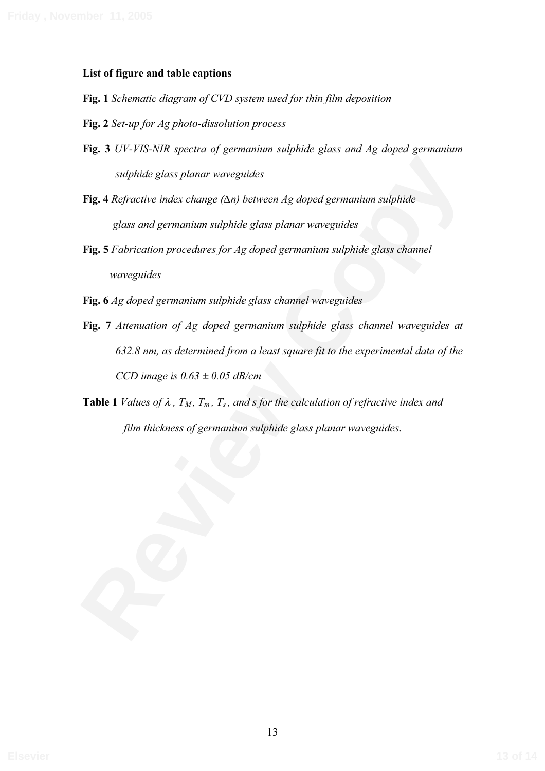#### **List of figure and table captions**

- **Fig. 1** *Schematic diagram of CVD system used for thin film deposition*
- **Fig. 2** *Set-up for Ag photo-dissolution process*
- **Fig. 3** *UV-VIS-NIR spectra of germanium sulphide glass and Ag doped germanium sulphide glass planar waveguides*
- **Fig. 4** *Refractive index change (∆n) between Ag doped germanium sulphide glass and germanium sulphide glass planar waveguides*
- **Fig. 5** *Fabrication procedures for Ag doped germanium sulphide glass channel waveguides*
- **Fig. 6** *Ag doped germanium sulphide glass channel waveguides*
- **Refractive index change (** $\Delta n$ **) between Ag doped germanium sulphide<br>
<b>Fig. 4** Refractive index change ( $\Delta n$ ) between Ag doped germanium sulphide<br> **Fig. 5** Fabrication procedures for Ag doped germanium sulphide glass cha **Fig. 7** *Attenuation of Ag doped germanium sulphide glass channel waveguides at 632.8 nm, as determined from a least square fit to the experimental data of the CCD image is 0.63 ± 0.05 dB/cm*
- **Table 1** *Values of*  $\lambda$ *,*  $T_M$ *,*  $T_m$ *,*  $T_s$ *, and s for the calculation of refractive index and film thickness of germanium sulphide glass planar waveguides*.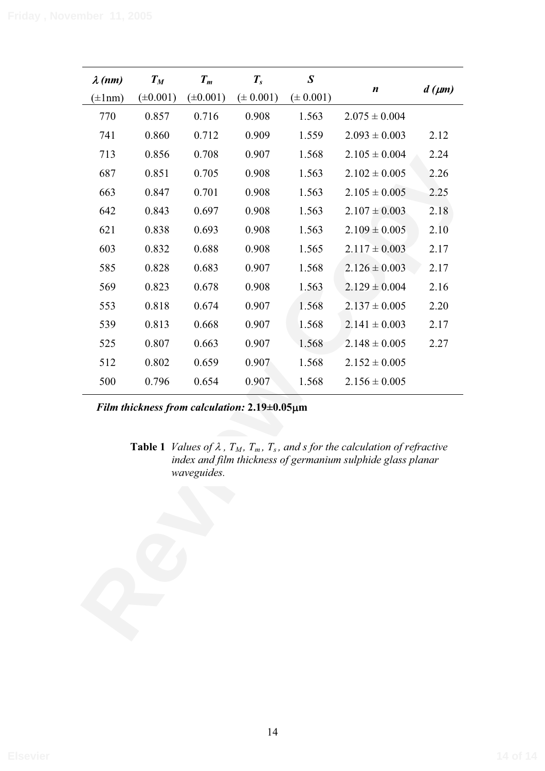| $(\pm 0.001)$<br>$(\pm 0.001)$<br>$(\pm 0.001)$<br>$(\pm 0.001)$<br>$(\pm 1$ nm)<br>770<br>0.857<br>0.716<br>0.908<br>1.563<br>$2.075 \pm 0.004$<br>741<br>0.860<br>0.712<br>0.909<br>1.559<br>$2.093 \pm 0.003$<br>713<br>0.856<br>0.708<br>0.907<br>1.568<br>$2.105 \pm 0.004$<br>687<br>0.851<br>0.705<br>0.908<br>1.563<br>$2.102 \pm 0.005$<br>663<br>0.847<br>0.701<br>0.908<br>1.563<br>$2.105 \pm 0.005$<br>642<br>0.843<br>0.697<br>0.908<br>1.563<br>$2.107 \pm 0.003$<br>621<br>0.838<br>0.693<br>0.908<br>1.563<br>$2.109 \pm 0.005$<br>603<br>0.832<br>0.688<br>0.908<br>1.565<br>$2.117 \pm 0.003$<br>585<br>0.828<br>0.683<br>0.907<br>1.568<br>$2.126 \pm 0.003$<br>569<br>0.823<br>0.678<br>0.908<br>1.563<br>$2.129 \pm 0.004$<br>0.818<br>553<br>0.674<br>0.907<br>1.568<br>$2.137 \pm 0.005$<br>539<br>0.813<br>0.668<br>0.907<br>1.568<br>$2.141 \pm 0.003$<br>525<br>0.807<br>0.663<br>0.907<br>1.568<br>$2.148 \pm 0.005$<br>512<br>1.568<br>0.802<br>0.659<br>0.907<br>$2.152 \pm 0.005$<br>500<br>0.796<br>0.654<br>0.907<br>1.568<br>$2.156 \pm 0.005$<br>Film thickness from calculation: 2.19±0.05µm | 2.12<br>2.24<br>2.26<br>2.25<br>2.18<br>2.10<br>2.17<br>2.17<br>2.16<br>2.20<br>2.17<br>2.27<br><b>Table 1</b> <i>Values of <math>\lambda</math>, T<sub>M</sub>, T<sub>m</sub>, T<sub>s</sub>, and s for the calculation of refractive</i><br>index and film thickness of germanium sulphide glass planar<br>waveguides. |  | $T_M$ | $T_m$ | $T_{s}$ | $\pmb{S}$ |                  |                |
|----------------------------------------------------------------------------------------------------------------------------------------------------------------------------------------------------------------------------------------------------------------------------------------------------------------------------------------------------------------------------------------------------------------------------------------------------------------------------------------------------------------------------------------------------------------------------------------------------------------------------------------------------------------------------------------------------------------------------------------------------------------------------------------------------------------------------------------------------------------------------------------------------------------------------------------------------------------------------------------------------------------------------------------------------------------------------------------------------------------------------------|--------------------------------------------------------------------------------------------------------------------------------------------------------------------------------------------------------------------------------------------------------------------------------------------------------------------------|--|-------|-------|---------|-----------|------------------|----------------|
|                                                                                                                                                                                                                                                                                                                                                                                                                                                                                                                                                                                                                                                                                                                                                                                                                                                                                                                                                                                                                                                                                                                                  |                                                                                                                                                                                                                                                                                                                          |  |       |       |         |           | $\boldsymbol{n}$ | $d \, (\mu m)$ |
|                                                                                                                                                                                                                                                                                                                                                                                                                                                                                                                                                                                                                                                                                                                                                                                                                                                                                                                                                                                                                                                                                                                                  |                                                                                                                                                                                                                                                                                                                          |  |       |       |         |           |                  |                |
|                                                                                                                                                                                                                                                                                                                                                                                                                                                                                                                                                                                                                                                                                                                                                                                                                                                                                                                                                                                                                                                                                                                                  |                                                                                                                                                                                                                                                                                                                          |  |       |       |         |           |                  |                |
|                                                                                                                                                                                                                                                                                                                                                                                                                                                                                                                                                                                                                                                                                                                                                                                                                                                                                                                                                                                                                                                                                                                                  |                                                                                                                                                                                                                                                                                                                          |  |       |       |         |           |                  |                |
|                                                                                                                                                                                                                                                                                                                                                                                                                                                                                                                                                                                                                                                                                                                                                                                                                                                                                                                                                                                                                                                                                                                                  |                                                                                                                                                                                                                                                                                                                          |  |       |       |         |           |                  |                |
|                                                                                                                                                                                                                                                                                                                                                                                                                                                                                                                                                                                                                                                                                                                                                                                                                                                                                                                                                                                                                                                                                                                                  |                                                                                                                                                                                                                                                                                                                          |  |       |       |         |           |                  |                |
|                                                                                                                                                                                                                                                                                                                                                                                                                                                                                                                                                                                                                                                                                                                                                                                                                                                                                                                                                                                                                                                                                                                                  |                                                                                                                                                                                                                                                                                                                          |  |       |       |         |           |                  |                |
|                                                                                                                                                                                                                                                                                                                                                                                                                                                                                                                                                                                                                                                                                                                                                                                                                                                                                                                                                                                                                                                                                                                                  |                                                                                                                                                                                                                                                                                                                          |  |       |       |         |           |                  |                |
|                                                                                                                                                                                                                                                                                                                                                                                                                                                                                                                                                                                                                                                                                                                                                                                                                                                                                                                                                                                                                                                                                                                                  |                                                                                                                                                                                                                                                                                                                          |  |       |       |         |           |                  |                |
|                                                                                                                                                                                                                                                                                                                                                                                                                                                                                                                                                                                                                                                                                                                                                                                                                                                                                                                                                                                                                                                                                                                                  |                                                                                                                                                                                                                                                                                                                          |  |       |       |         |           |                  |                |
|                                                                                                                                                                                                                                                                                                                                                                                                                                                                                                                                                                                                                                                                                                                                                                                                                                                                                                                                                                                                                                                                                                                                  |                                                                                                                                                                                                                                                                                                                          |  |       |       |         |           |                  |                |
|                                                                                                                                                                                                                                                                                                                                                                                                                                                                                                                                                                                                                                                                                                                                                                                                                                                                                                                                                                                                                                                                                                                                  |                                                                                                                                                                                                                                                                                                                          |  |       |       |         |           |                  |                |
|                                                                                                                                                                                                                                                                                                                                                                                                                                                                                                                                                                                                                                                                                                                                                                                                                                                                                                                                                                                                                                                                                                                                  |                                                                                                                                                                                                                                                                                                                          |  |       |       |         |           |                  |                |
|                                                                                                                                                                                                                                                                                                                                                                                                                                                                                                                                                                                                                                                                                                                                                                                                                                                                                                                                                                                                                                                                                                                                  |                                                                                                                                                                                                                                                                                                                          |  |       |       |         |           |                  |                |
|                                                                                                                                                                                                                                                                                                                                                                                                                                                                                                                                                                                                                                                                                                                                                                                                                                                                                                                                                                                                                                                                                                                                  |                                                                                                                                                                                                                                                                                                                          |  |       |       |         |           |                  |                |
|                                                                                                                                                                                                                                                                                                                                                                                                                                                                                                                                                                                                                                                                                                                                                                                                                                                                                                                                                                                                                                                                                                                                  |                                                                                                                                                                                                                                                                                                                          |  |       |       |         |           |                  |                |
|                                                                                                                                                                                                                                                                                                                                                                                                                                                                                                                                                                                                                                                                                                                                                                                                                                                                                                                                                                                                                                                                                                                                  |                                                                                                                                                                                                                                                                                                                          |  |       |       |         |           |                  |                |
|                                                                                                                                                                                                                                                                                                                                                                                                                                                                                                                                                                                                                                                                                                                                                                                                                                                                                                                                                                                                                                                                                                                                  |                                                                                                                                                                                                                                                                                                                          |  |       |       |         |           |                  |                |
|                                                                                                                                                                                                                                                                                                                                                                                                                                                                                                                                                                                                                                                                                                                                                                                                                                                                                                                                                                                                                                                                                                                                  |                                                                                                                                                                                                                                                                                                                          |  |       |       |         |           |                  |                |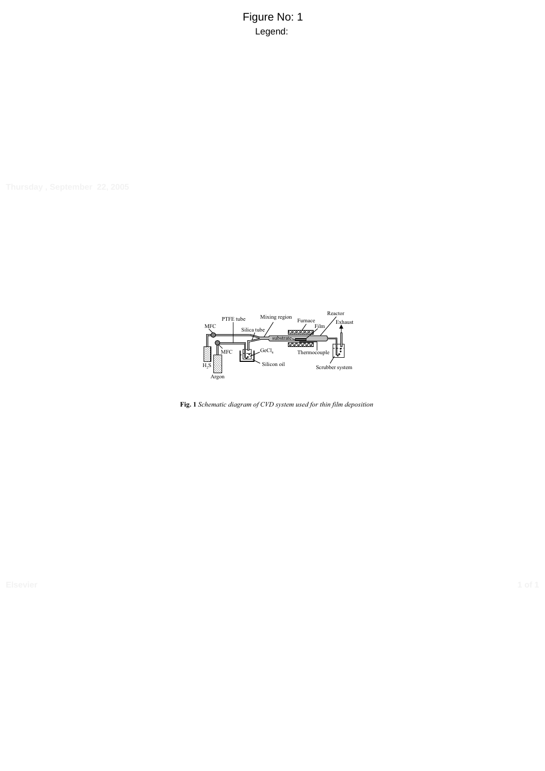Figure No: 1 Legend:



**Fig. 1** *Schematic diagram of CVD system used for thin film deposition*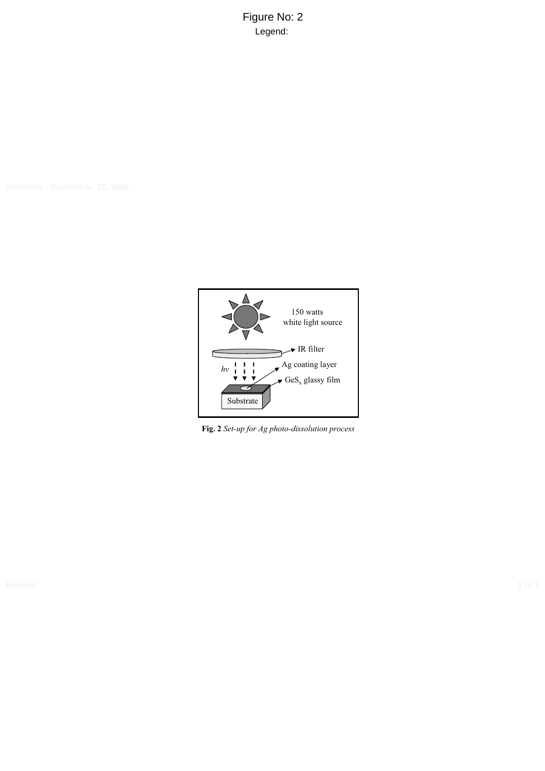Figure No: 2 Legend:



**Fig. 2** *Set-up for Ag photo-dissolution process*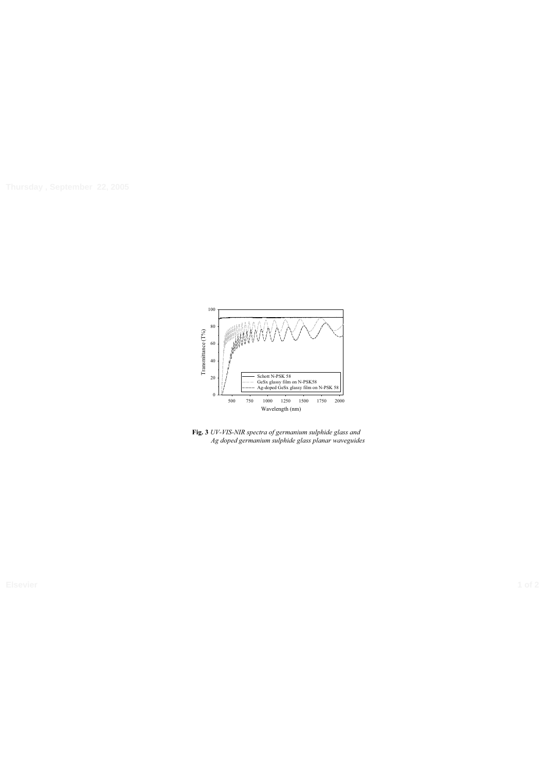

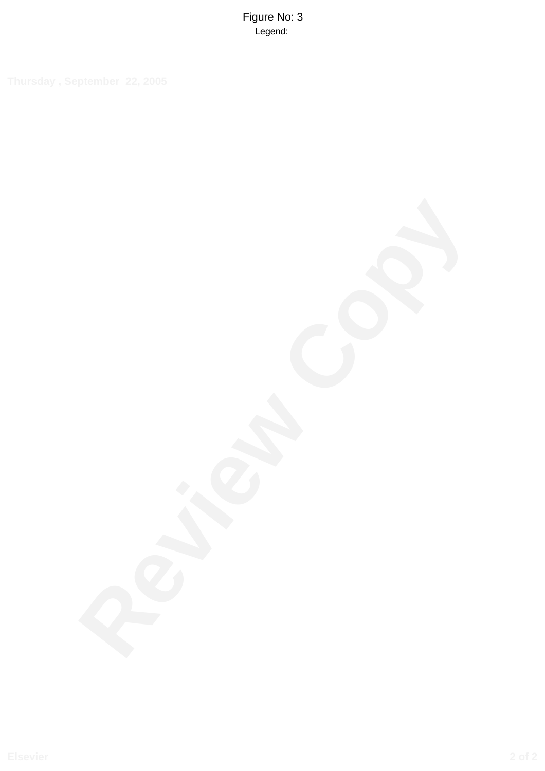Figure No: 3 Legend: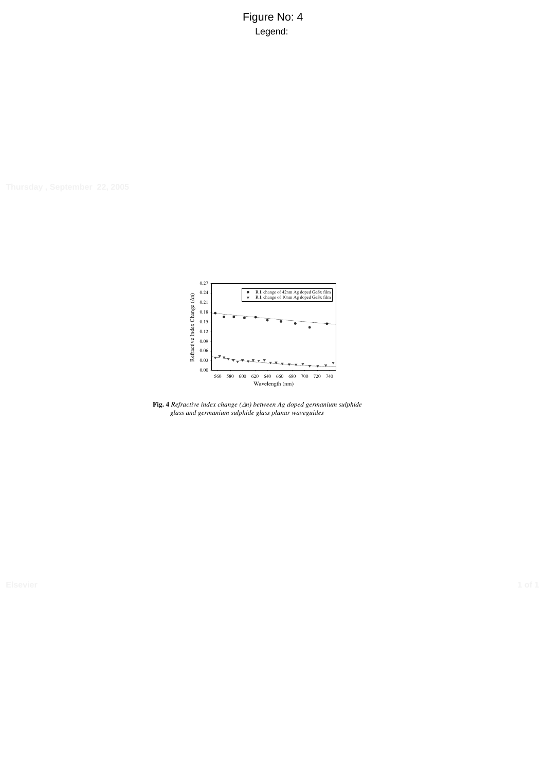Figure No: 4 Legend:



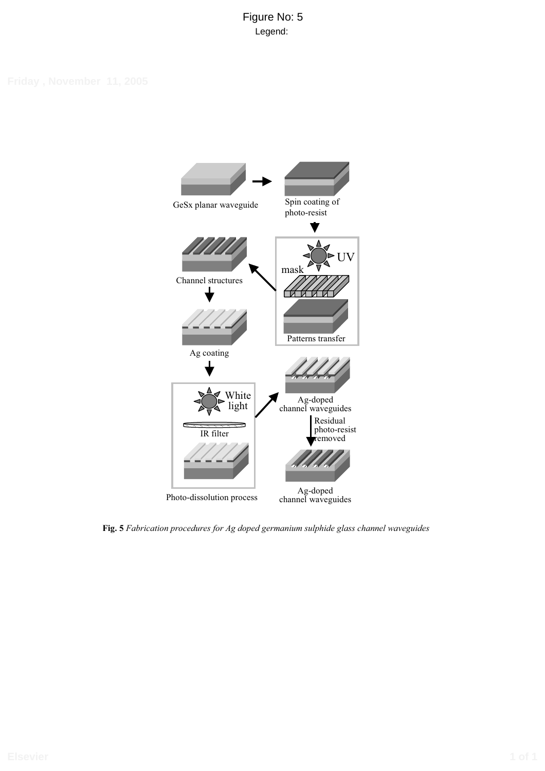# Figure No: 5 Legend:



**Fig. 5** *Fabrication procedures for Ag doped germanium sulphide glass channel waveguides*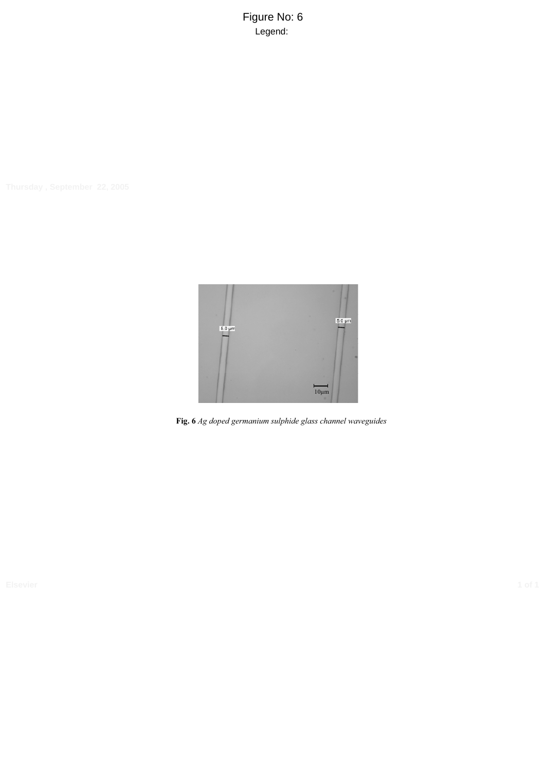Figure No: 6 Legend:



**Fig. 6** *Ag doped germanium sulphide glass channel waveguides*